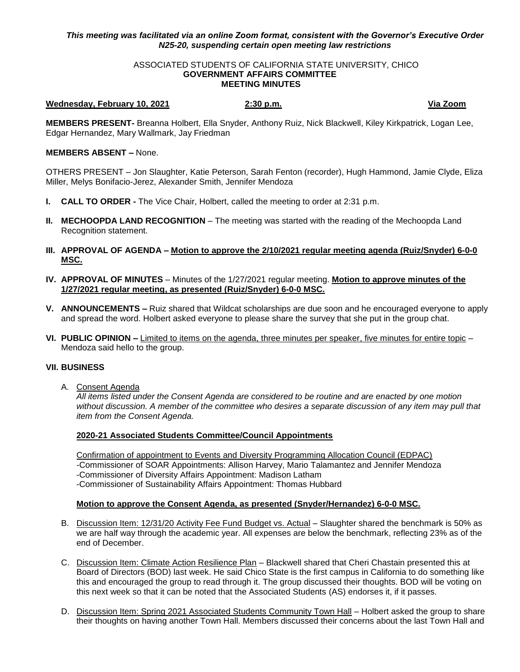# *This meeting was facilitated via an online Zoom format, consistent with the Governor's Executive Order N25-20, suspending certain open meeting law restrictions*

#### ASSOCIATED STUDENTS OF CALIFORNIA STATE UNIVERSITY, CHICO **GOVERNMENT AFFAIRS COMMITTEE MEETING MINUTES**

#### **Wednesday, February 10, 2021 2:30 p.m. Via Zoom**

**MEMBERS PRESENT-** Breanna Holbert, Ella Snyder, Anthony Ruiz, Nick Blackwell, Kiley Kirkpatrick, Logan Lee, Edgar Hernandez, Mary Wallmark, Jay Friedman

## **MEMBERS ABSENT –** None.

OTHERS PRESENT – Jon Slaughter, Katie Peterson, Sarah Fenton (recorder), Hugh Hammond, Jamie Clyde, Eliza Miller, Melys Bonifacio-Jerez, Alexander Smith, Jennifer Mendoza

- **I. CALL TO ORDER -** The Vice Chair, Holbert, called the meeting to order at 2:31 p.m.
- **II. MECHOOPDA LAND RECOGNITION** The meeting was started with the reading of the Mechoopda Land Recognition statement.
- **III. APPROVAL OF AGENDA – Motion to approve the 2/10/2021 regular meeting agenda (Ruiz/Snyder) 6-0-0 MSC.**
- **IV. APPROVAL OF MINUTES** Minutes of the 1/27/2021 regular meeting. **Motion to approve minutes of the 1/27/2021 regular meeting, as presented (Ruiz/Snyder) 6-0-0 MSC.**
- **V. ANNOUNCEMENTS –** Ruiz shared that Wildcat scholarships are due soon and he encouraged everyone to apply and spread the word. Holbert asked everyone to please share the survey that she put in the group chat.
- **VI. PUBLIC OPINION –** Limited to items on the agenda, three minutes per speaker, five minutes for entire topic Mendoza said hello to the group.

### **VII. BUSINESS**

A. Consent Agenda

*All items listed under the Consent Agenda are considered to be routine and are enacted by one motion without discussion. A member of the committee who desires a separate discussion of any item may pull that item from the Consent Agenda.* 

### **2020-21 Associated Students Committee/Council Appointments**

Confirmation of appointment to Events and Diversity Programming Allocation Council (EDPAC) -Commissioner of SOAR Appointments: Allison Harvey, Mario Talamantez and Jennifer Mendoza -Commissioner of Diversity Affairs Appointment: Madison Latham -Commissioner of Sustainability Affairs Appointment: Thomas Hubbard

# **Motion to approve the Consent Agenda, as presented (Snyder/Hernandez) 6-0-0 MSC.**

- B. Discussion Item: 12/31/20 Activity Fee Fund Budget vs. Actual Slaughter shared the benchmark is 50% as we are half way through the academic year. All expenses are below the benchmark, reflecting 23% as of the end of December.
- C. Discussion Item: Climate Action Resilience Plan Blackwell shared that Cheri Chastain presented this at Board of Directors (BOD) last week. He said Chico State is the first campus in California to do something like this and encouraged the group to read through it. The group discussed their thoughts. BOD will be voting on this next week so that it can be noted that the Associated Students (AS) endorses it, if it passes.
- D. Discussion Item: Spring 2021 Associated Students Community Town Hall Holbert asked the group to share their thoughts on having another Town Hall. Members discussed their concerns about the last Town Hall and